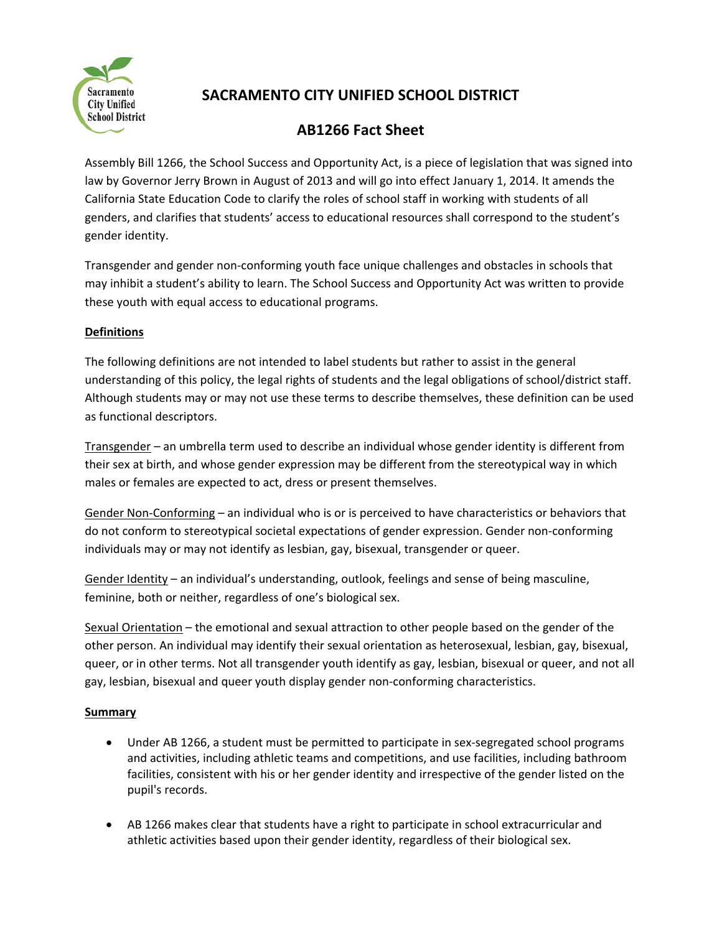

# **SACRAMENTO CITY UNIFIED SCHOOL DISTRICT**

## **AB1266 Fact Sheet**

Assembly Bill 1266, the School Success and Opportunity Act, is a piece of legislation that was signed into law by Governor Jerry Brown in August of 2013 and will go into effect January 1, 2014. It amends the California State Education Code to clarify the roles of school staff in working with students of all genders, and clarifies that students' access to educational resources shall correspond to the student's gender identity.

Transgender and gender non‐conforming youth face unique challenges and obstacles in schools that may inhibit a student's ability to learn. The School Success and Opportunity Act was written to provide these youth with equal access to educational programs.

### **Definitions**

The following definitions are not intended to label students but rather to assist in the general understanding of this policy, the legal rights of students and the legal obligations of school/district staff. Although students may or may not use these terms to describe themselves, these definition can be used as functional descriptors.

Transgender – an umbrella term used to describe an individual whose gender identity is different from their sex at birth, and whose gender expression may be different from the stereotypical way in which males or females are expected to act, dress or present themselves.

Gender Non‐Conforming – an individual who is or is perceived to have characteristics or behaviors that do not conform to stereotypical societal expectations of gender expression. Gender non‐conforming individuals may or may not identify as lesbian, gay, bisexual, transgender or queer.

Gender Identity – an individual's understanding, outlook, feelings and sense of being masculine, feminine, both or neither, regardless of one's biological sex.

Sexual Orientation – the emotional and sexual attraction to other people based on the gender of the other person. An individual may identify their sexual orientation as heterosexual, lesbian, gay, bisexual, queer, or in other terms. Not all transgender youth identify as gay, lesbian, bisexual or queer, and not all gay, lesbian, bisexual and queer youth display gender non‐conforming characteristics.

### **Summary**

- Under AB 1266, a student must be permitted to participate in sex‐segregated school programs and activities, including athletic teams and competitions, and use facilities, including bathroom facilities, consistent with his or her gender identity and irrespective of the gender listed on the pupil's records.
- AB 1266 makes clear that students have a right to participate in school extracurricular and athletic activities based upon their gender identity, regardless of their biological sex.